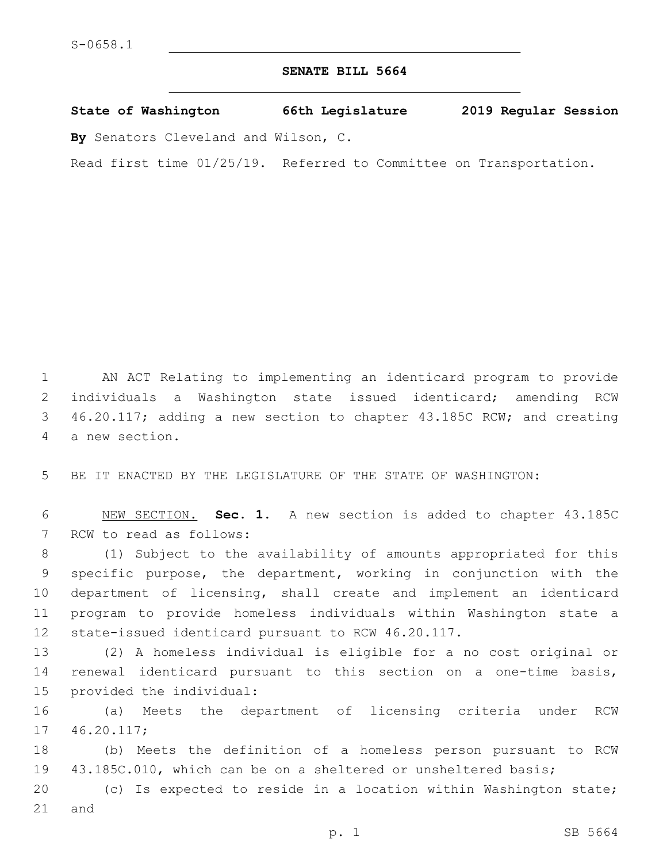## **SENATE BILL 5664**

**State of Washington 66th Legislature 2019 Regular Session By** Senators Cleveland and Wilson, C.

Read first time 01/25/19. Referred to Committee on Transportation.

1 AN ACT Relating to implementing an identicard program to provide 2 individuals a Washington state issued identicard; amending RCW 3 46.20.117; adding a new section to chapter 43.185C RCW; and creating 4 a new section.

5 BE IT ENACTED BY THE LEGISLATURE OF THE STATE OF WASHINGTON:

6 NEW SECTION. **Sec. 1.** A new section is added to chapter 43.185C 7 RCW to read as follows:

 (1) Subject to the availability of amounts appropriated for this specific purpose, the department, working in conjunction with the department of licensing, shall create and implement an identicard program to provide homeless individuals within Washington state a state-issued identicard pursuant to RCW 46.20.117.

13 (2) A homeless individual is eligible for a no cost original or 14 renewal identicard pursuant to this section on a one-time basis, 15 provided the individual:

16 (a) Meets the department of licensing criteria under RCW 17 46.20.117;

18 (b) Meets the definition of a homeless person pursuant to RCW 19 43.185C.010, which can be on a sheltered or unsheltered basis;

20 (c) Is expected to reside in a location within Washington state;  $21$  and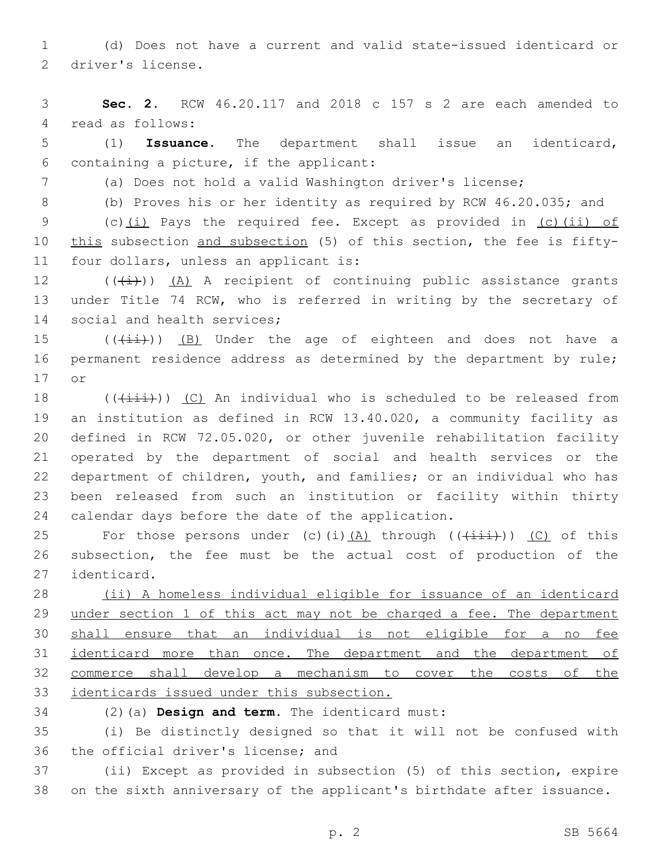1 (d) Does not have a current and valid state-issued identicard or 2 driver's license.

3 **Sec. 2.** RCW 46.20.117 and 2018 c 157 s 2 are each amended to 4 read as follows:

5 (1) **Issuance**. The department shall issue an identicard, 6 containing a picture, if the applicant:

7 (a) Does not hold a valid Washington driver's license;

8 (b) Proves his or her identity as required by RCW 46.20.035; and

9 (c)(i) Pays the required fee. Except as provided in (c)(ii) of 10 this subsection and subsection (5) of this section, the fee is fifty-11 four dollars, unless an applicant is:

 $12$  (( $(\frac{1}{1})$ ) (A) A recipient of continuing public assistance grants 13 under Title 74 RCW, who is referred in writing by the secretary of 14 social and health services;

15  $((\overrightarrow{4\pm})^n)$  (B) Under the age of eighteen and does not have a 16 permanent residence address as determined by the department by rule; 17 or

 $((\overrightarrow{\text{init}}))$  (C) An individual who is scheduled to be released from an institution as defined in RCW 13.40.020, a community facility as defined in RCW 72.05.020, or other juvenile rehabilitation facility operated by the department of social and health services or the department of children, youth, and families; or an individual who has been released from such an institution or facility within thirty 24 calendar days before the date of the application.

25 For those persons under (c)(i)(A) through  $((\overrightarrow{+i\text{ i}}))$  (C) of this 26 subsection, the fee must be the actual cost of production of the 27 identicard.

 (ii) A homeless individual eligible for issuance of an identicard 29 under section 1 of this act may not be charged a fee. The department shall ensure that an individual is not eligible for a no fee identicard more than once. The department and the department of commerce shall develop a mechanism to cover the costs of the identicards issued under this subsection.

(2)(a) **Design and term**. The identicard must:34

35 (i) Be distinctly designed so that it will not be confused with 36 the official driver's license; and

37 (ii) Except as provided in subsection (5) of this section, expire 38 on the sixth anniversary of the applicant's birthdate after issuance.